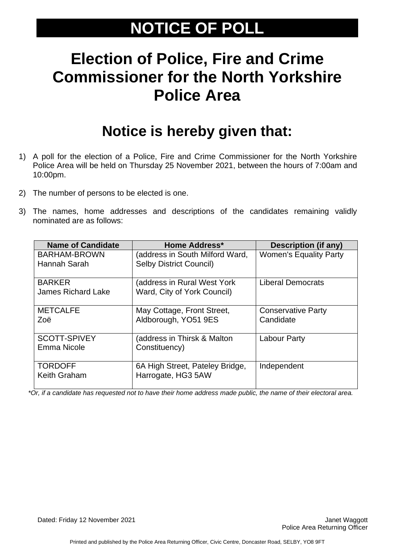# **NOTICE OF POLL**

# **Election of Police, Fire and Crime Commissioner for the North Yorkshire Police Area**

### **Notice is hereby given that:**

- 1) A poll for the election of a Police, Fire and Crime Commissioner for the North Yorkshire Police Area will be held on Thursday 25 November 2021, between the hours of 7:00am and 10:00pm.
- 2) The number of persons to be elected is one.
- 3) The names, home addresses and descriptions of the candidates remaining validly nominated are as follows:

| <b>Name of Candidate</b>                   | <b>Home Address*</b>                                              | Description (if any)                   |
|--------------------------------------------|-------------------------------------------------------------------|----------------------------------------|
| BARHAM-BROWN<br>Hannah Sarah               | (address in South Milford Ward,<br><b>Selby District Council)</b> | <b>Women's Equality Party</b>          |
| <b>BARKER</b><br><b>James Richard Lake</b> | (address in Rural West York)<br>Ward, City of York Council)       | <b>Liberal Democrats</b>               |
| <b>METCALFE</b><br>Zoë                     | May Cottage, Front Street,<br>Aldborough, YO51 9ES                | <b>Conservative Party</b><br>Candidate |
| <b>SCOTT-SPIVEY</b><br>Emma Nicole         | (address in Thirsk & Malton<br>Constituency)                      | <b>Labour Party</b>                    |
| <b>TORDOFF</b><br>Keith Graham             | 6A High Street, Pateley Bridge,<br>Harrogate, HG3 5AW             | Independent                            |

*\*Or, if a candidate has requested not to have their home address made public, the name of their electoral area.*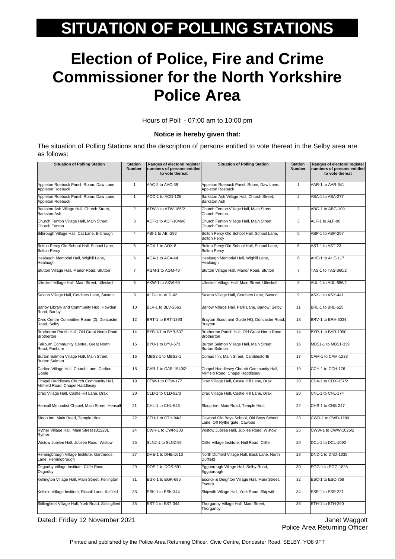# **SITUATION OF POLLING STATIONS**

# **Election of Police, Fire and Crime Commissioner for the North Yorkshire Police Area**

Hours of Poll: - 07:00 am to 10:00 pm

#### **Notice is hereby given that:**

The situation of Polling Stations and the description of persons entitled to vote thereat in the Selby area are as follows:

| <b>Situation of Polling Station</b>                                         | <b>Station</b><br><b>Number</b> | Ranges of electoral register<br>numbers of persons entitled<br>to vote thereat | <b>Situation of Polling Station</b>                                         | <b>Station</b><br><b>Number</b> | Ranges of electoral register<br>numbers of persons entitled<br>to vote thereat |
|-----------------------------------------------------------------------------|---------------------------------|--------------------------------------------------------------------------------|-----------------------------------------------------------------------------|---------------------------------|--------------------------------------------------------------------------------|
| Appleton Roebuck Parish Room, Daw Lane,<br><b>Appleton Roebuck</b>          | $\mathbf{1}$                    | AAC-2 to AAC-38                                                                | Appleton Roebuck Parish Room, Daw Lane,<br>Appleton Roebuck                 | $\mathbf{1}$                    | AAR-1 to AAR-641                                                               |
| Appleton Roebuck Parish Room, Daw Lane,<br><b>Appleton Roebuck</b>          | $\mathbf{1}$                    | ACO-1 to ACO-125                                                               | Barkston Ash Village Hall, Church Street,<br><b>Barkston Ash</b>            | $\overline{2}$                  | ABA-1 to ABA-277                                                               |
| Barkston Ash Village Hall, Church Street,<br>Barkston Ash                   | $\overline{2}$                  | ATW-1 to ATW-185/2                                                             | Church Fenton Village Hall, Main Street,<br>Church Fenton                   | 3                               | ABG-1 to ABG-109                                                               |
| Church Fenton Village Hall, Main Street,<br>Church Fenton                   | 3                               | ACF-1 to ACF-1046/6                                                            | Church Fenton Village Hall, Main Street,<br>Church Fenton                   | 3                               | ALF-1 to ALF-90                                                                |
| Bilbrough Village Hall, Cat Lane, Bilbrough                                 | 4                               | ABI-1 to ABI-292                                                               | Bolton Percy Old School Hall, School Lane,<br><b>Bolton Percy</b>           | 5                               | ABP-1 to ABP-257                                                               |
| Bolton Percy Old School Hall, School Lane,<br><b>Bolton Percy</b>           | 5                               | AOX-1 to AOX-8                                                                 | Bolton Percy Old School Hall, School Lane,<br><b>Bolton Percy</b>           | 5                               | AST-1 to AST-23                                                                |
| Healaugh Memorial Hall, Wighill Lane,<br>Healaugh                           | 6                               | ACA-1 to ACA-44                                                                | Healaugh Memorial Hall, Wighill Lane,<br>Healaugh                           | 6                               | AHE-1 to AHE-117                                                               |
| Stutton Village Hall, Manor Road, Stutton                                   | $\overline{7}$                  | AGM-1 to AGM-40                                                                | Stutton Village Hall, Manor Road, Stutton                                   | $\overline{7}$                  | TAS-1 to TAS-360/2                                                             |
| Ulleskelf Village Hall, Main Street, Ulleskelf                              | 8                               | AKW-1 to AKW-69                                                                | Ulleskelf Village Hall, Main Street, Ulleskelf                              | 8                               | AUL-1 to AUL-886/2                                                             |
| Saxton Village Hall, Cotchers Lane, Saxton                                  | $\overline{9}$                  | ALD-1 to ALD-42                                                                | Saxton Village Hall, Cotchers Lane, Saxton                                  | $\overline{9}$                  | ASX-1 to ASX-441                                                               |
| Barlby Library and Community Hub, Howden<br>Road, Barlby                    | 10                              | BLV-1 to BLV-2663                                                              | Barlow Village Hall, Park Lane, Barlow, Selby                               | 11                              | BRL-1 to BRL-625                                                               |
| Civic Centre Committee Room (2), Doncaster<br>Road, Selby                   | 12                              | BRT-1 to BRT-1393                                                              | Brayton Scout and Guide HQ, Doncaster Road,<br><b>Brayton</b>               | 13                              | BRV-1 to BRV-3024                                                              |
| Brotherton Parish Hall, Old Great North Road,<br><b>Brotherton</b>          | 14                              | BYB-1/1 to BYB-537                                                             | Brotherton Parish Hall, Old Great North Road,<br><b>Brotherton</b>          | 14                              | BYR-1 to BYR-1090                                                              |
| Fairburn Community Centre, Great North<br>Road, Fairburn                    | 15                              | BYU-1 to BYU-673                                                               | Burton Salmon Village Hall, Main Street,<br><b>Burton Salmon</b>            | 16                              | MBS1-1 to MBS1-339                                                             |
| Burton Salmon Village Hall, Main Street,<br><b>Burton Salmon</b>            | 16                              | MBS2-1 to MBS2-1                                                               | Comus Inn, Main Street, Camblesforth                                        | 17                              | CAM-1 to CAM-1233                                                              |
| Carlton Village Hall, Church Lane, Carlton,<br>Goole                        | 18                              | CAR-1 to CAR-1540/2                                                            | Chapel Haddlesey Church Community Hall,<br>Millfield Road, Chapel Haddlesey | 19                              | CCH-1 to CCH-176                                                               |
| Chapel Haddlesey Church Community Hall,<br>Millfield Road, Chapel Haddlesey | 19                              | CTW-1 to CTW-177                                                               | Drax Village Hall, Castle Hill Lane, Drax                                   | 20                              | CDX-1 to CDX-337/2                                                             |
| Drax Village Hall, Castle Hill Lane, Drax                                   | 20                              | CLD-1 to CLD-82/3                                                              | Drax Village Hall, Castle Hill Lane, Drax                                   | 20                              | CNL-1 to CNL-174                                                               |
| Hensall Methodist Chapel, Main Street, Hensall                              | 21                              | CHL-1 to CHL-648                                                               | Sloop Inn, Main Road, Temple Hirst                                          | 22                              | CHS-1 to CHS-247                                                               |
| Sloop Inn, Main Road, Temple Hirst                                          | 22                              | CTH-1 to CTH-94/3                                                              | Cawood Old Boys School, Old Boys School<br>ane, Off Rythergate, Cawood      | 23                              | CWD-1 to CWD-1290                                                              |
| Ryther Village Hall, Main Street (B1223),<br>Ryther                         | 24                              | CWR-1 to CWR-203                                                               | Wistow Jubilee Hall, Jubilee Road, Wistow                                   | 25                              | CWW-1 to CWW-1025/2                                                            |
| Wistow Jubilee Hall, Jubilee Road, Wistow                                   | 25                              | <b>SLN2-1 to SLN2-59</b>                                                       | Cliffe Village Institute, Hull Road, Cliffe                                 | 26                              | DCL-1 to DCL-1092                                                              |
| Hemingbrough Village Institute, Garthends<br>.ane, Hemingbrougn             | 27                              | DHE-1 to DHE-1613                                                              | North Duffield Village Hall, Back Lane, North<br>Jumela                     | 28                              | DND-1 to DND-1035                                                              |
| Osgodby Village Institute, Cliffe Road,<br>Osgodby                          | 29                              | DOS-1 to DOS-691                                                               | Eggborough Village Hall, Selby Road,<br>Eggborough                          | 30                              | EGG-1 to EGG-1825                                                              |
| Kellington Village Hall, Main Street, Kellington                            | 31                              | EGK-1 to EGK-685                                                               | Escrick & Deighton Village Hall, Main Street,<br>Escrick                    | 32                              | ESC-1 to ESC-759                                                               |
| Kelfield Village Institute, Riccall Lane, Kelfield                          | 33                              | ESK-1 to ESK-344                                                               | Skipwith Village Hall, York Road, Skipwith                                  | 34                              | ESP-1 to ESP-221                                                               |
| Stillingfleet Village Hall, York Road, Stillingfleet                        | 35                              | EST-1 to EST-344                                                               | Thorganby Village Hall, Main Street,<br>Thorganby                           | 36                              | ETH-1 to ETH-290                                                               |

Dated: Friday 12 November 2021 **Janet Waggott 12 November 2021** Janet Waggott 1

Police Area Returning Officer